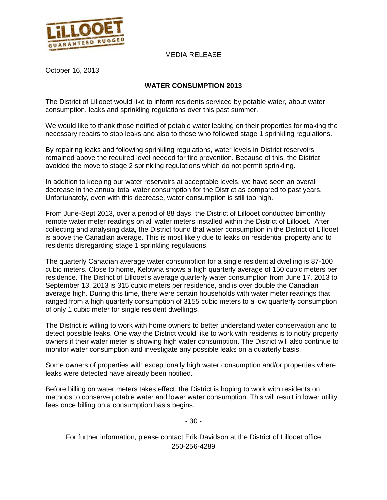

#### MEDIA RELEASE

October 16, 2013

#### **WATER CONSUMPTION 2013**

The District of Lillooet would like to inform residents serviced by potable water, about water consumption, leaks and sprinkling regulations over this past summer.

We would like to thank those notified of potable water leaking on their properties for making the necessary repairs to stop leaks and also to those who followed stage 1 sprinkling regulations.

By repairing leaks and following sprinkling regulations, water levels in District reservoirs remained above the required level needed for fire prevention. Because of this, the District avoided the move to stage 2 sprinkling regulations which do not permit sprinkling.

In addition to keeping our water reservoirs at acceptable levels, we have seen an overall decrease in the annual total water consumption for the District as compared to past years. Unfortunately, even with this decrease, water consumption is still too high.

From June-Sept 2013, over a period of 88 days, the District of Lillooet conducted bimonthly remote water meter readings on all water meters installed within the District of Lillooet. After collecting and analysing data, the District found that water consumption in the District of Lillooet is above the Canadian average. This is most likely due to leaks on residential property and to residents disregarding stage 1 sprinkling regulations.

The quarterly Canadian average water consumption for a single residential dwelling is 87-100 cubic meters. Close to home, Kelowna shows a high quarterly average of 150 cubic meters per residence. The District of Lillooet's average quarterly water consumption from June 17, 2013 to September 13, 2013 is 315 cubic meters per residence, and is over double the Canadian average high. During this time, there were certain households with water meter readings that ranged from a high quarterly consumption of 3155 cubic meters to a low quarterly consumption of only 1 cubic meter for single resident dwellings.

The District is willing to work with home owners to better understand water conservation and to detect possible leaks. One way the District would like to work with residents is to notify property owners if their water meter is showing high water consumption. The District will also continue to monitor water consumption and investigate any possible leaks on a quarterly basis.

Some owners of properties with exceptionally high water consumption and/or properties where leaks were detected have already been notified.

Before billing on water meters takes effect, the District is hoping to work with residents on methods to conserve potable water and lower water consumption. This will result in lower utility fees once billing on a consumption basis begins.

- 30 -

For further information, please contact Erik Davidson at the District of Lillooet office 250-256-4289